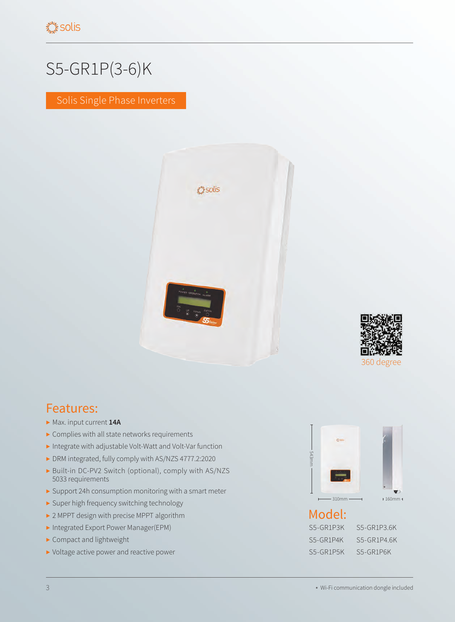## S5-GR1P(3-6)K

Solis Single Phase Inverters





## Features:

- ▶ Max. input current **14A**
- ▶ Complies with all state networks requirements
- ▶ Integrate with adjustable Volt-Watt and Volt-Var function
- ▶ DRM integrated, fully comply with AS/NZS 4777.2:2020
- ▶ Built-in DC-PV2 Switch (optional), comply with AS/NZS 5033 requirements
- ▶ Support 24h consumption monitoring with a smart meter
- ▶ Super high frequency switching technology
- ▶ 2 MPPT design with precise MPPT algorithm
- ▶ Integrated Export Power Manager(EPM)
- ▶ Compact and lightweight
- ▶ Voltage active power and reactive power



| S5-GR1P3K | S5-GR1P3.6K |
|-----------|-------------|
| S5-GR1P4K | S5-GR1P4.6K |
| S5-GR1P5K | S5-GR1P6K   |